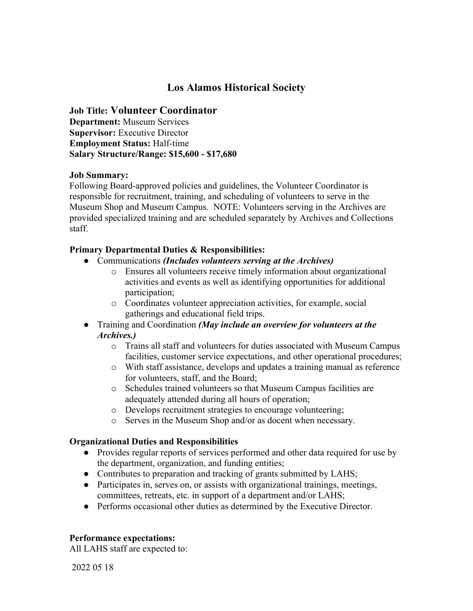# **Los Alamos Historical Society**

### **Job Title: Volunteer Coordinator**

**Department:** Museum Services **Supervisor:** Executive Director **Employment Status:** Half-time **Salary Structure/Range: \$15,600 - \$17,680**

#### **Job Summary:**

Following Board-approved policies and guidelines, the Volunteer Coordinator is responsible for recruitment, training, and scheduling of volunteers to serve in the Museum Shop and Museum Campus. NOTE: Volunteers serving in the Archives are provided specialized training and are scheduled separately by Archives and Collections staff.

#### **Primary Departmental Duties & Responsibilities:**

- Communications *(Includes volunteers serving at the Archives)*
	- o Ensures all volunteers receive timely information about organizational activities and events as well as identifying opportunities for additional participation;
	- o Coordinates volunteer appreciation activities, for example, social gatherings and educational field trips.
- Training and Coordination *(May include an overview for volunteers at the Archives.)*
	- o Trains all staff and volunteers for duties associated with Museum Campus facilities, customer service expectations, and other operational procedures;
	- o With staff assistance, develops and updates a training manual as reference for volunteers, staff, and the Board;
	- o Schedules trained volunteers so that Museum Campus facilities are adequately attended during all hours of operation;
	- o Develops recruitment strategies to encourage volunteering;
	- o Serves in the Museum Shop and/or as docent when necessary.

#### **Organizational Duties and Responsibilities**

- Provides regular reports of services performed and other data required for use by the department, organization, and funding entities;
- Contributes to preparation and tracking of grants submitted by LAHS;
- Participates in, serves on, or assists with organizational trainings, meetings, committees, retreats, etc. in support of a department and/or LAHS;
- Performs occasional other duties as determined by the Executive Director.

#### **Performance expectations:**

All LAHS staff are expected to:

2022 05 18